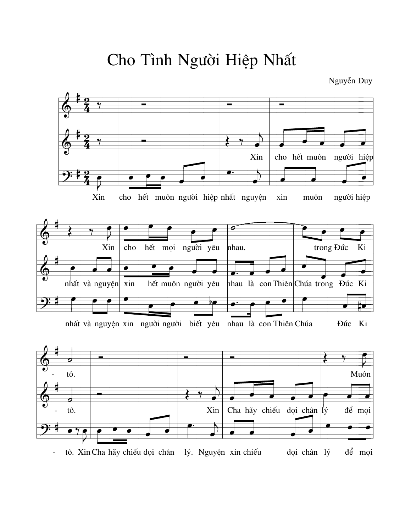Cho Tình Người Hiệp Nhất

Nguyễn Duy